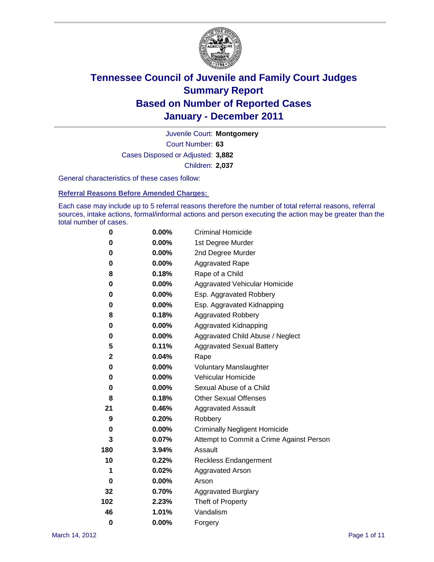

Court Number: **63** Juvenile Court: **Montgomery** Cases Disposed or Adjusted: **3,882** Children: **2,037**

General characteristics of these cases follow:

**Referral Reasons Before Amended Charges:** 

Each case may include up to 5 referral reasons therefore the number of total referral reasons, referral sources, intake actions, formal/informal actions and person executing the action may be greater than the total number of cases.

| 0            | $0.00\%$ | <b>Criminal Homicide</b>                 |  |  |  |  |
|--------------|----------|------------------------------------------|--|--|--|--|
| 0            | 0.00%    | 1st Degree Murder                        |  |  |  |  |
| 0            | $0.00\%$ | 2nd Degree Murder                        |  |  |  |  |
| 0            | 0.00%    | <b>Aggravated Rape</b>                   |  |  |  |  |
| 8            | 0.18%    | Rape of a Child                          |  |  |  |  |
| 0            | 0.00%    | Aggravated Vehicular Homicide            |  |  |  |  |
| 0            | 0.00%    | Esp. Aggravated Robbery                  |  |  |  |  |
| 0            | $0.00\%$ | Esp. Aggravated Kidnapping               |  |  |  |  |
| 8            | 0.18%    | <b>Aggravated Robbery</b>                |  |  |  |  |
| 0            | $0.00\%$ | Aggravated Kidnapping                    |  |  |  |  |
| 0            | 0.00%    | Aggravated Child Abuse / Neglect         |  |  |  |  |
| 5            | 0.11%    | <b>Aggravated Sexual Battery</b>         |  |  |  |  |
| $\mathbf{2}$ | 0.04%    | Rape                                     |  |  |  |  |
| 0            | $0.00\%$ | <b>Voluntary Manslaughter</b>            |  |  |  |  |
| 0            | 0.00%    | Vehicular Homicide                       |  |  |  |  |
| 0            | $0.00\%$ | Sexual Abuse of a Child                  |  |  |  |  |
| 8            | 0.18%    | <b>Other Sexual Offenses</b>             |  |  |  |  |
| 21           | 0.46%    | <b>Aggravated Assault</b>                |  |  |  |  |
| 9            | 0.20%    | Robbery                                  |  |  |  |  |
| 0            | 0.00%    | <b>Criminally Negligent Homicide</b>     |  |  |  |  |
| 3            | 0.07%    | Attempt to Commit a Crime Against Person |  |  |  |  |
| 180          | 3.94%    | Assault                                  |  |  |  |  |
| 10           | 0.22%    | <b>Reckless Endangerment</b>             |  |  |  |  |
| 1            | 0.02%    | <b>Aggravated Arson</b>                  |  |  |  |  |
| 0            | 0.00%    | Arson                                    |  |  |  |  |
| 32           | 0.70%    | <b>Aggravated Burglary</b>               |  |  |  |  |
| 102          | 2.23%    | Theft of Property                        |  |  |  |  |
| 46           | 1.01%    | Vandalism                                |  |  |  |  |
| 0            | 0.00%    | Forgery                                  |  |  |  |  |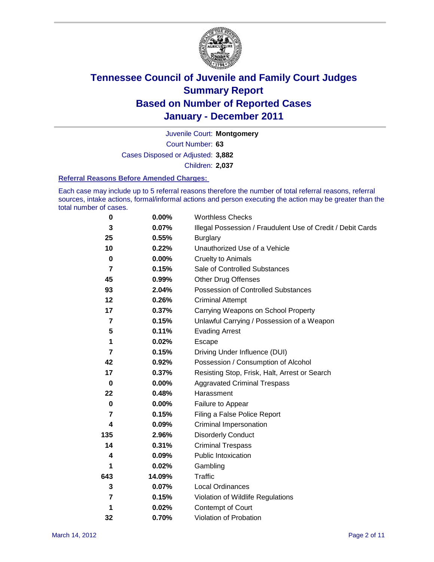

Court Number: **63** Juvenile Court: **Montgomery** Cases Disposed or Adjusted: **3,882** Children: **2,037**

#### **Referral Reasons Before Amended Charges:**

Each case may include up to 5 referral reasons therefore the number of total referral reasons, referral sources, intake actions, formal/informal actions and person executing the action may be greater than the total number of cases.

| $\pmb{0}$   | 0.00%    | <b>Worthless Checks</b>                                     |  |  |
|-------------|----------|-------------------------------------------------------------|--|--|
| 3           | 0.07%    | Illegal Possession / Fraudulent Use of Credit / Debit Cards |  |  |
| 25          | 0.55%    | <b>Burglary</b>                                             |  |  |
| 10          | 0.22%    | Unauthorized Use of a Vehicle                               |  |  |
| $\bf{0}$    | $0.00\%$ | <b>Cruelty to Animals</b>                                   |  |  |
| 7           | 0.15%    | Sale of Controlled Substances                               |  |  |
| 45          | 0.99%    | <b>Other Drug Offenses</b>                                  |  |  |
| 93          | 2.04%    | Possession of Controlled Substances                         |  |  |
| 12          | 0.26%    | <b>Criminal Attempt</b>                                     |  |  |
| 17          | 0.37%    | Carrying Weapons on School Property                         |  |  |
| 7           | 0.15%    | Unlawful Carrying / Possession of a Weapon                  |  |  |
| 5           | 0.11%    | <b>Evading Arrest</b>                                       |  |  |
| 1           | 0.02%    | Escape                                                      |  |  |
| 7           | 0.15%    | Driving Under Influence (DUI)                               |  |  |
| 42          | 0.92%    | Possession / Consumption of Alcohol                         |  |  |
| 17          | 0.37%    | Resisting Stop, Frisk, Halt, Arrest or Search               |  |  |
| $\mathbf 0$ | $0.00\%$ | <b>Aggravated Criminal Trespass</b>                         |  |  |
| 22          | 0.48%    | Harassment                                                  |  |  |
| $\bf{0}$    | 0.00%    | Failure to Appear                                           |  |  |
| 7           | 0.15%    | Filing a False Police Report                                |  |  |
| 4           | 0.09%    | Criminal Impersonation                                      |  |  |
| 135         | 2.96%    | <b>Disorderly Conduct</b>                                   |  |  |
| 14          | 0.31%    | <b>Criminal Trespass</b>                                    |  |  |
| 4           | 0.09%    | <b>Public Intoxication</b>                                  |  |  |
| 1           | 0.02%    | Gambling                                                    |  |  |
| 643         | 14.09%   | <b>Traffic</b>                                              |  |  |
| 3           | 0.07%    | <b>Local Ordinances</b>                                     |  |  |
| 7           | 0.15%    | Violation of Wildlife Regulations                           |  |  |
| 1           | 0.02%    | Contempt of Court                                           |  |  |
| 32          | 0.70%    | Violation of Probation                                      |  |  |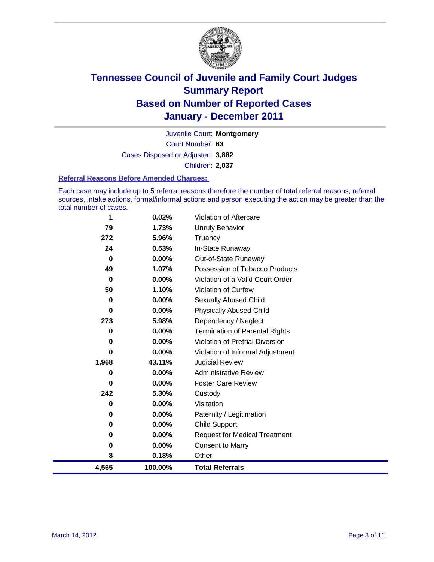

Court Number: **63** Juvenile Court: **Montgomery** Cases Disposed or Adjusted: **3,882** Children: **2,037**

#### **Referral Reasons Before Amended Charges:**

Each case may include up to 5 referral reasons therefore the number of total referral reasons, referral sources, intake actions, formal/informal actions and person executing the action may be greater than the total number of cases.

| 4,565    | 100.00% | <b>Total Referrals</b>                 |
|----------|---------|----------------------------------------|
| 8        | 0.18%   | Other                                  |
| 0        | 0.00%   | <b>Consent to Marry</b>                |
| 0        | 0.00%   | <b>Request for Medical Treatment</b>   |
| 0        | 0.00%   | <b>Child Support</b>                   |
| 0        | 0.00%   | Paternity / Legitimation               |
| 0        | 0.00%   | Visitation                             |
| 242      | 5.30%   | Custody                                |
| 0        | 0.00%   | <b>Foster Care Review</b>              |
| 0        | 0.00%   | <b>Administrative Review</b>           |
| 1,968    | 43.11%  | <b>Judicial Review</b>                 |
| 0        | 0.00%   | Violation of Informal Adjustment       |
| 0        | 0.00%   | <b>Violation of Pretrial Diversion</b> |
| 0        | 0.00%   | <b>Termination of Parental Rights</b>  |
| 273      | 5.98%   | Dependency / Neglect                   |
| 0        | 0.00%   | <b>Physically Abused Child</b>         |
| 0        | 0.00%   | Sexually Abused Child                  |
| 50       | 1.10%   | <b>Violation of Curfew</b>             |
| 0        | 0.00%   | Violation of a Valid Court Order       |
| 49       | 1.07%   | Possession of Tobacco Products         |
| $\bf{0}$ | 0.00%   | Out-of-State Runaway                   |
| 24       | 0.53%   | In-State Runaway                       |
| 272      | 5.96%   | Truancy                                |
| 79       | 1.73%   | Unruly Behavior                        |
| 1        | 0.02%   | Violation of Aftercare                 |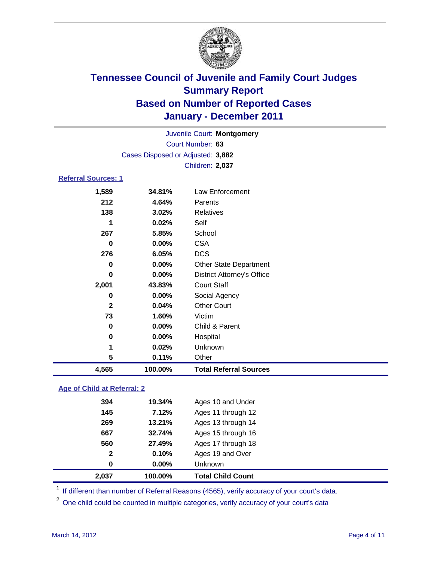

|                                   | Juvenile Court: Montgomery |                                   |  |  |
|-----------------------------------|----------------------------|-----------------------------------|--|--|
|                                   | Court Number: 63           |                                   |  |  |
| Cases Disposed or Adjusted: 3,882 |                            |                                   |  |  |
|                                   | Children: 2,037            |                                   |  |  |
| <b>Referral Sources: 1</b>        |                            |                                   |  |  |
| 1,589                             | 34.81%                     | Law Enforcement                   |  |  |
| 212                               | 4.64%                      | Parents                           |  |  |
| 138                               | 3.02%                      | Relatives                         |  |  |
| 1                                 | 0.02%                      | Self                              |  |  |
| 267                               | 5.85%                      | School                            |  |  |
| 0                                 | $0.00\%$                   | <b>CSA</b>                        |  |  |
| 276                               | 6.05%                      | <b>DCS</b>                        |  |  |
| 0                                 | 0.00%                      | <b>Other State Department</b>     |  |  |
| 0                                 | 0.00%                      | <b>District Attorney's Office</b> |  |  |
| 2,001                             | 43.83%                     | <b>Court Staff</b>                |  |  |
| 0                                 | $0.00\%$                   | Social Agency                     |  |  |
| $\mathbf{2}$                      | 0.04%                      | <b>Other Court</b>                |  |  |
| 73                                | 1.60%                      | Victim                            |  |  |
| $\bf{0}$                          | 0.00%                      | Child & Parent                    |  |  |
| 0                                 | 0.00%                      | Hospital                          |  |  |
| 1                                 | 0.02%                      | Unknown                           |  |  |
| 5                                 | 0.11%                      | Other                             |  |  |
| 4,565                             | 100.00%                    | <b>Total Referral Sources</b>     |  |  |
|                                   |                            |                                   |  |  |

### **Age of Child at Referral: 2**

| <b>Total Child Count</b> | 100.00% | 2,037        |
|--------------------------|---------|--------------|
| <b>Unknown</b>           | 0.00%   | 0            |
| Ages 19 and Over         | 0.10%   | $\mathbf{2}$ |
| Ages 17 through 18       | 27.49%  | 560          |
| Ages 15 through 16       | 32.74%  | 667          |
| Ages 13 through 14       | 13.21%  | 269          |
| Ages 11 through 12       | 7.12%   | 145          |
| Ages 10 and Under        | 19.34%  | 394          |
|                          |         |              |

<sup>1</sup> If different than number of Referral Reasons (4565), verify accuracy of your court's data.

<sup>2</sup> One child could be counted in multiple categories, verify accuracy of your court's data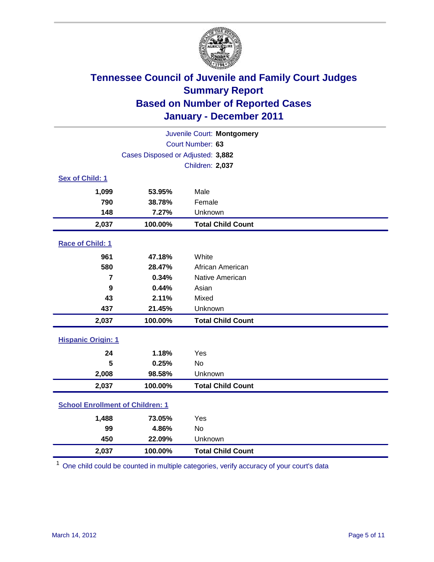

| Juvenile Court: Montgomery              |                                   |                          |  |  |
|-----------------------------------------|-----------------------------------|--------------------------|--|--|
| Court Number: 63                        |                                   |                          |  |  |
|                                         | Cases Disposed or Adjusted: 3,882 |                          |  |  |
|                                         | <b>Children: 2,037</b>            |                          |  |  |
| Sex of Child: 1                         |                                   |                          |  |  |
| 1,099                                   | 53.95%                            | Male                     |  |  |
| 790                                     | 38.78%                            | Female                   |  |  |
| 148                                     | 7.27%                             | Unknown                  |  |  |
| 2,037                                   | 100.00%                           | <b>Total Child Count</b> |  |  |
| Race of Child: 1                        |                                   |                          |  |  |
| 961                                     | 47.18%                            | White                    |  |  |
| 580                                     | 28.47%                            | African American         |  |  |
| 7                                       | 0.34%                             | Native American          |  |  |
| 9                                       | 0.44%                             | Asian                    |  |  |
| 43                                      | 2.11%                             | Mixed                    |  |  |
| 437                                     | 21.45%                            | Unknown                  |  |  |
| 2,037                                   | 100.00%                           | <b>Total Child Count</b> |  |  |
| <b>Hispanic Origin: 1</b>               |                                   |                          |  |  |
| 24                                      | 1.18%                             | Yes                      |  |  |
| 5                                       | 0.25%                             | <b>No</b>                |  |  |
| 2,008                                   | 98.58%                            | Unknown                  |  |  |
| 2,037                                   | 100.00%                           | <b>Total Child Count</b> |  |  |
| <b>School Enrollment of Children: 1</b> |                                   |                          |  |  |
| 1,488                                   | 73.05%                            | Yes                      |  |  |
| 99                                      | 4.86%                             | <b>No</b>                |  |  |
| 450                                     | 22.09%                            | Unknown                  |  |  |
| 2,037                                   | 100.00%                           | <b>Total Child Count</b> |  |  |

<sup>1</sup> One child could be counted in multiple categories, verify accuracy of your court's data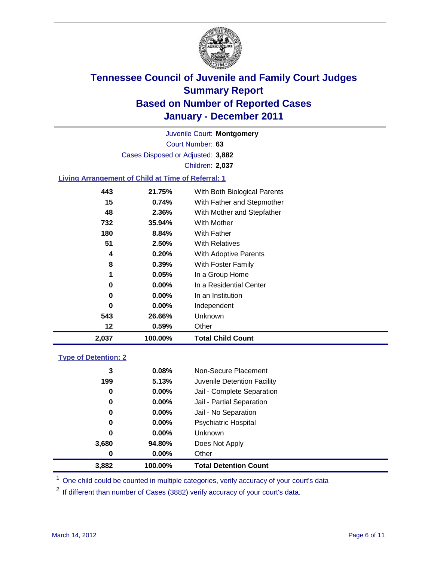

Court Number: **63** Juvenile Court: **Montgomery** Cases Disposed or Adjusted: **3,882** Children: **2,037**

### **Living Arrangement of Child at Time of Referral: 1**

| 2,037 | 100.00%  | <b>Total Child Count</b>     |
|-------|----------|------------------------------|
| 12    | 0.59%    | Other                        |
| 543   | 26.66%   | Unknown                      |
| 0     | $0.00\%$ | Independent                  |
| 0     | $0.00\%$ | In an Institution            |
| 0     | $0.00\%$ | In a Residential Center      |
| 1     | 0.05%    | In a Group Home              |
| 8     | 0.39%    | With Foster Family           |
| 4     | 0.20%    | <b>With Adoptive Parents</b> |
| 51    | 2.50%    | <b>With Relatives</b>        |
| 180   | 8.84%    | With Father                  |
| 732   | 35.94%   | With Mother                  |
| 48    | 2.36%    | With Mother and Stepfather   |
| 15    | 0.74%    | With Father and Stepmother   |
| 443   | 21.75%   | With Both Biological Parents |
|       |          |                              |

#### **Type of Detention: 2**

| 3,882 | 100.00%  | <b>Total Detention Count</b> |  |
|-------|----------|------------------------------|--|
| 0     | $0.00\%$ | Other                        |  |
| 3,680 | 94.80%   | Does Not Apply               |  |
| 0     | $0.00\%$ | Unknown                      |  |
| 0     | $0.00\%$ | <b>Psychiatric Hospital</b>  |  |
| 0     | 0.00%    | Jail - No Separation         |  |
| 0     | $0.00\%$ | Jail - Partial Separation    |  |
| 0     | 0.00%    | Jail - Complete Separation   |  |
| 199   | 5.13%    | Juvenile Detention Facility  |  |
| 3     | 0.08%    | Non-Secure Placement         |  |
|       |          |                              |  |

<sup>1</sup> One child could be counted in multiple categories, verify accuracy of your court's data

<sup>2</sup> If different than number of Cases (3882) verify accuracy of your court's data.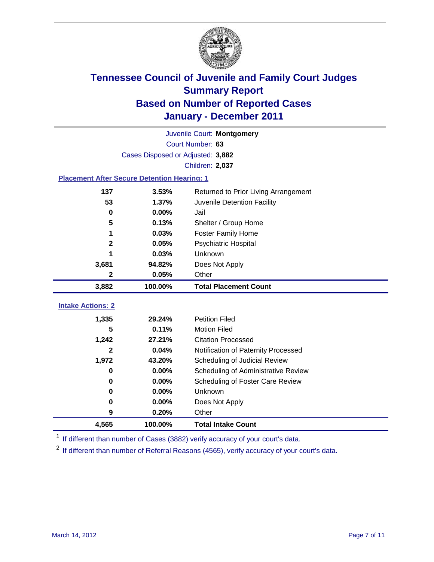

|                                                    | Juvenile Court: Montgomery        |                                      |  |  |
|----------------------------------------------------|-----------------------------------|--------------------------------------|--|--|
|                                                    | Court Number: 63                  |                                      |  |  |
|                                                    | Cases Disposed or Adjusted: 3,882 |                                      |  |  |
| Children: 2,037                                    |                                   |                                      |  |  |
| <b>Placement After Secure Detention Hearing: 1</b> |                                   |                                      |  |  |
| 137                                                | 3.53%                             | Returned to Prior Living Arrangement |  |  |
| 53                                                 | 1.37%                             | Juvenile Detention Facility          |  |  |
| 0                                                  | 0.00%                             | Jail                                 |  |  |
| 5                                                  | 0.13%                             | Shelter / Group Home                 |  |  |
| 1                                                  | 0.03%                             | <b>Foster Family Home</b>            |  |  |
| 2                                                  | 0.05%                             | Psychiatric Hospital                 |  |  |
|                                                    | 0.03%                             | Unknown                              |  |  |
| 3,681                                              | 94.82%                            | Does Not Apply                       |  |  |
| $\mathbf 2$                                        | 0.05%                             | Other                                |  |  |
|                                                    |                                   |                                      |  |  |
| 3,882                                              | 100.00%                           | <b>Total Placement Count</b>         |  |  |
|                                                    |                                   |                                      |  |  |
| <b>Intake Actions: 2</b><br>1,335                  | 29.24%                            | <b>Petition Filed</b>                |  |  |
| 5                                                  | 0.11%                             | <b>Motion Filed</b>                  |  |  |
| 1,242                                              | 27.21%                            | <b>Citation Processed</b>            |  |  |
| 2                                                  | 0.04%                             | Notification of Paternity Processed  |  |  |
| 1,972                                              | 43.20%                            | Scheduling of Judicial Review        |  |  |
| $\bf{0}$                                           | 0.00%                             | Scheduling of Administrative Review  |  |  |
| 0                                                  | 0.00%                             | Scheduling of Foster Care Review     |  |  |
| $\bf{0}$                                           | 0.00%                             | Unknown                              |  |  |
| 0                                                  | 0.00%                             | Does Not Apply                       |  |  |
| 9                                                  | 0.20%                             | Other                                |  |  |

<sup>1</sup> If different than number of Cases (3882) verify accuracy of your court's data.

<sup>2</sup> If different than number of Referral Reasons (4565), verify accuracy of your court's data.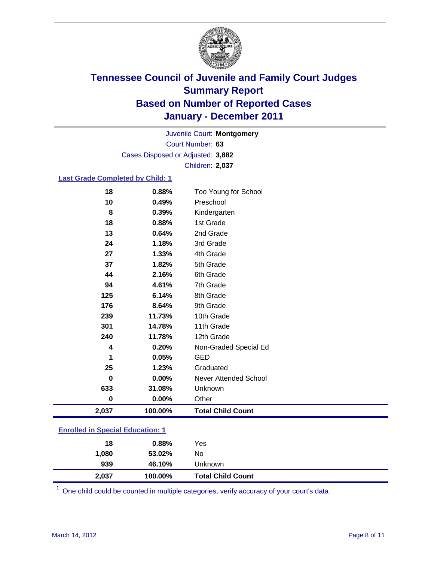

Court Number: **63** Juvenile Court: **Montgomery** Cases Disposed or Adjusted: **3,882** Children: **2,037**

#### **Last Grade Completed by Child: 1**

| 18                                      | 0.88%   | Too Young for School         |  |
|-----------------------------------------|---------|------------------------------|--|
| 10                                      | 0.49%   | Preschool                    |  |
| 8                                       | 0.39%   | Kindergarten                 |  |
| 18                                      | 0.88%   | 1st Grade                    |  |
| 13                                      | 0.64%   | 2nd Grade                    |  |
| 24                                      | 1.18%   | 3rd Grade                    |  |
| 27                                      | 1.33%   | 4th Grade                    |  |
| 37                                      | 1.82%   | 5th Grade                    |  |
| 44                                      | 2.16%   | 6th Grade                    |  |
| 94                                      | 4.61%   | 7th Grade                    |  |
| 125                                     | 6.14%   | 8th Grade                    |  |
| 176                                     | 8.64%   | 9th Grade                    |  |
| 239                                     | 11.73%  | 10th Grade                   |  |
| 301                                     | 14.78%  | 11th Grade                   |  |
| 240                                     | 11.78%  | 12th Grade                   |  |
| 4                                       | 0.20%   | Non-Graded Special Ed        |  |
| 1                                       | 0.05%   | <b>GED</b>                   |  |
| 25                                      | 1.23%   | Graduated                    |  |
| $\bf{0}$                                | 0.00%   | <b>Never Attended School</b> |  |
| 633                                     | 31.08%  | Unknown                      |  |
| $\bf{0}$                                | 0.00%   | Other                        |  |
| 2,037                                   | 100.00% | <b>Total Child Count</b>     |  |
| <b>Enrolled in Special Education: 1</b> |         |                              |  |

| 2,037 | 100.00%     | <b>Total Child Count</b> |
|-------|-------------|--------------------------|
| 939   | 46.10%      | Unknown                  |
| 1,080 | 53.02%      | No                       |
|       | 18<br>0.88% | Yes                      |
|       |             |                          |

One child could be counted in multiple categories, verify accuracy of your court's data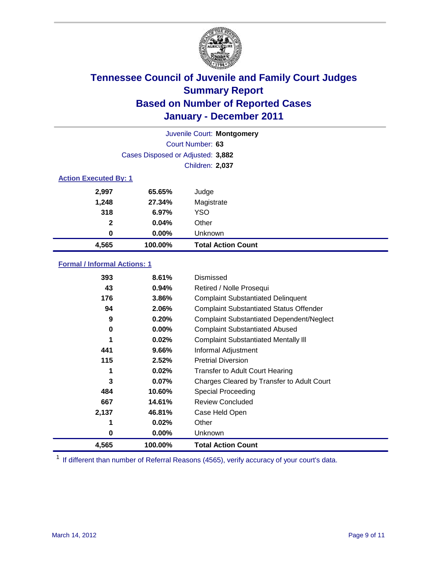

|                              | Juvenile Court: Montgomery        |                           |  |  |
|------------------------------|-----------------------------------|---------------------------|--|--|
|                              | Court Number: 63                  |                           |  |  |
|                              | Cases Disposed or Adjusted: 3,882 |                           |  |  |
|                              | <b>Children: 2,037</b>            |                           |  |  |
| <b>Action Executed By: 1</b> |                                   |                           |  |  |
| 2,997                        | 65.65%                            | Judge                     |  |  |
| 1,248                        | 27.34%                            | Magistrate                |  |  |
| 318                          | 6.97%                             | <b>YSO</b>                |  |  |
| $\mathbf{2}$                 | 0.04%                             | Other                     |  |  |
| 0                            | 0.00%                             | Unknown                   |  |  |
| 4,565                        | 100.00%                           | <b>Total Action Count</b> |  |  |

### **Formal / Informal Actions: 1**

| 393   | 8.61%    | Dismissed                                        |
|-------|----------|--------------------------------------------------|
| 43    | 0.94%    | Retired / Nolle Prosequi                         |
| 176   | 3.86%    | <b>Complaint Substantiated Delinquent</b>        |
| 94    | 2.06%    | <b>Complaint Substantiated Status Offender</b>   |
| 9     | 0.20%    | <b>Complaint Substantiated Dependent/Neglect</b> |
| 0     | $0.00\%$ | <b>Complaint Substantiated Abused</b>            |
| 1     | 0.02%    | <b>Complaint Substantiated Mentally III</b>      |
| 441   | 9.66%    | Informal Adjustment                              |
| 115   | 2.52%    | <b>Pretrial Diversion</b>                        |
| 1     | 0.02%    | <b>Transfer to Adult Court Hearing</b>           |
| 3     | $0.07\%$ | Charges Cleared by Transfer to Adult Court       |
| 484   | 10.60%   | Special Proceeding                               |
| 667   | 14.61%   | <b>Review Concluded</b>                          |
| 2,137 | 46.81%   | Case Held Open                                   |
| 1     | 0.02%    | Other                                            |
| 0     | $0.00\%$ | <b>Unknown</b>                                   |
| 4,565 | 100.00%  | <b>Total Action Count</b>                        |

<sup>1</sup> If different than number of Referral Reasons (4565), verify accuracy of your court's data.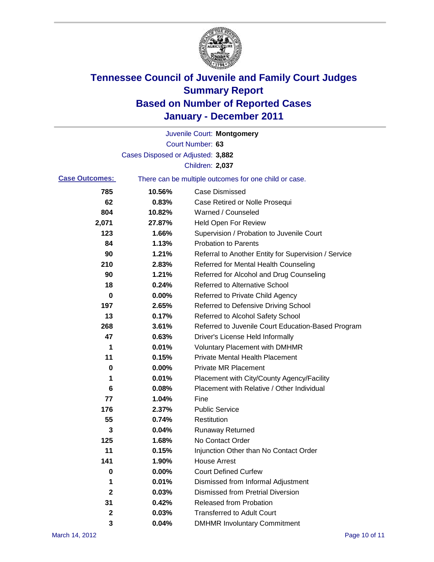

|                       |                                   | Juvenile Court: Montgomery                            |
|-----------------------|-----------------------------------|-------------------------------------------------------|
|                       |                                   | Court Number: 63                                      |
|                       | Cases Disposed or Adjusted: 3,882 |                                                       |
|                       |                                   | Children: 2,037                                       |
| <b>Case Outcomes:</b> |                                   | There can be multiple outcomes for one child or case. |
| 785                   | 10.56%                            | <b>Case Dismissed</b>                                 |
| 62                    | 0.83%                             | Case Retired or Nolle Prosequi                        |
| 804                   | 10.82%                            | Warned / Counseled                                    |
| 2,071                 | 27.87%                            | <b>Held Open For Review</b>                           |
| 123                   | 1.66%                             | Supervision / Probation to Juvenile Court             |
| 84                    | 1.13%                             | <b>Probation to Parents</b>                           |
| 90                    | 1.21%                             | Referral to Another Entity for Supervision / Service  |
| 210                   | 2.83%                             | Referred for Mental Health Counseling                 |
| 90                    | 1.21%                             | Referred for Alcohol and Drug Counseling              |
| 18                    | 0.24%                             | <b>Referred to Alternative School</b>                 |
| 0                     | 0.00%                             | Referred to Private Child Agency                      |
| 197                   | 2.65%                             | Referred to Defensive Driving School                  |
| 13                    | 0.17%                             | Referred to Alcohol Safety School                     |
| 268                   | 3.61%                             | Referred to Juvenile Court Education-Based Program    |
| 47                    | 0.63%                             | Driver's License Held Informally                      |
| 1                     | 0.01%                             | <b>Voluntary Placement with DMHMR</b>                 |
| 11                    | 0.15%                             | <b>Private Mental Health Placement</b>                |
| 0                     | 0.00%                             | <b>Private MR Placement</b>                           |
| 1                     | 0.01%                             | Placement with City/County Agency/Facility            |
| 6                     | 0.08%                             | Placement with Relative / Other Individual            |
| 77                    | 1.04%                             | Fine                                                  |
| 176                   | 2.37%                             | <b>Public Service</b>                                 |
| 55                    | 0.74%                             | Restitution                                           |
| 3                     | 0.04%                             | <b>Runaway Returned</b>                               |
| 125                   | 1.68%                             | No Contact Order                                      |
| 11                    | 0.15%                             | Injunction Other than No Contact Order                |
| 141                   | 1.90%                             | <b>House Arrest</b>                                   |
| 0                     | 0.00%                             | <b>Court Defined Curfew</b>                           |
| 1                     | 0.01%                             | Dismissed from Informal Adjustment                    |
| $\mathbf 2$           | 0.03%                             | <b>Dismissed from Pretrial Diversion</b>              |
| 31                    | 0.42%                             | <b>Released from Probation</b>                        |
| 2                     | 0.03%                             | <b>Transferred to Adult Court</b>                     |
| 3                     | 0.04%                             | <b>DMHMR Involuntary Commitment</b>                   |